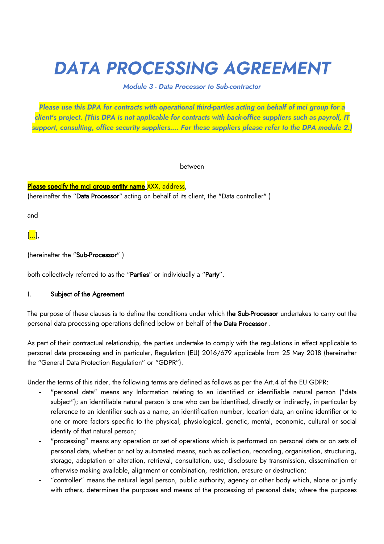# *DATA PROCESSING AGREEMENT*

#### *Module 3 - Data Processor to Sub-contractor*

*Please use this DPA for contracts with operational third-parties acting on behalf of mci group for a client's project. (This DPA is not applicable for contracts with back-office suppliers such as payroll, IT support, consulting, office security suppliers…. For these suppliers please refer to the DPA module 2.)*

#### between

#### Please specify the mci group entity name XXX, address,

(hereinafter the "Data Processor" acting on behalf of its client, the "Data controller" )

and

 $\left[\frac{\cdot}{\cdot \cdot \cdot}\right]$ ,

(hereinafter the "Sub-Processor" )

both collectively referred to as the "Parties" or individually a "Party".

#### I. Subject of the Agreement

The purpose of these clauses is to define the conditions under which the Sub-Processor undertakes to carry out the personal data processing operations defined below on behalf of the Data Processor .

As part of their contractual relationship, the parties undertake to comply with the regulations in effect applicable to personal data processing and in particular, Regulation (EU) 2016/679 applicable from 25 May 2018 (hereinafter the "General Data Protection Regulation" or "GDPR").

Under the terms of this rider, the following terms are defined as follows as per the Art.4 of the EU GDPR:

- "personal data" means any Information relating to an identified or identifiable natural person ("data subject"); an identifiable natural person Is one who can be identified, directly or indirectly, in particular by reference to an identifier such as a name, an identification number, location data, an online identifier or to one or more factors specific to the physical, physiological, genetic, mental, economic, cultural or social identity of that natural person;
- "processing" means any operation or set of operations which is performed on personal data or on sets of personal data, whether or not by automated means, such as collection, recording, organisation, structuring, storage, adaptation or alteration, retrieval, consultation, use, disclosure by transmission, dissemination or otherwise making available, alignment or combination, restriction, erasure or destruction;
- "controller" means the natural legal person, public authority, agency or other body which, alone or jointly with others, determines the purposes and means of the processing of personal data; where the purposes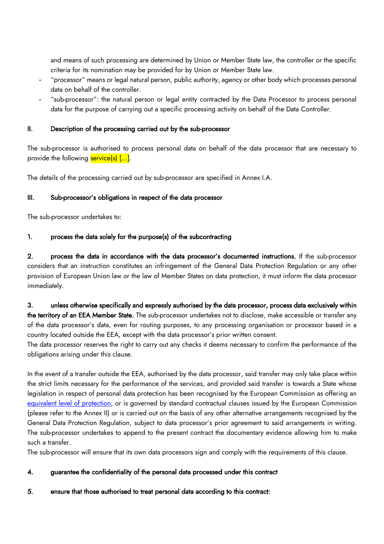and means of such processing are determined by Union or Member State law, the controller or the specific criteria for its nomination may be provided for by Union or Member State law.

- "processor" means or legal natural person, public authority, agency or other body which processes personal data on behalf of the controller.
- "sub-processor": the natural person or legal entity contracted by the Data Processor to process personal data for the purpose of carrying out a specific processing activity on behalf of the Data Controller.

#### II. Description of the processing carried out by the sub-processor

The sub-processor is authorised to process personal data on behalf of the data processor that are necessary to provide the following service(s) [...].

The details of the processing carried out by sub-processor are specified in Annex I.A.

#### III. Sub-processor's obligations in respect of the data processor

The sub-processor undertakes to:

#### 1. process the data solely for the purpose(s) of the subcontracting

2. process the data in accordance with the data processor's documented instructions. If the sub-processor considers that an instruction constitutes an infringement of the General Data Protection Regulation or any other provision of European Union law or the law of Member States on data protection, it must inform the data processor immediately.

3. unless otherwise specifically and expressly authorised by the data processor, process data exclusively within the territory of an EEA Member State. The sub-processor undertakes not to disclose, make accessible or transfer any of the data processor's data, even for routing purposes, to any processing organisation or processor based in a country located outside the EEA, except with the data processor's prior written consent.

The data processor reserves the right to carry out any checks it deems necessary to confirm the performance of the obligations arising under this clause.

In the event of a transfer outside the EEA, authorised by the data processor, said transfer may only take place within the strict limits necessary for the performance of the services, and provided said transfer is towards a State whose legislation in respect of personal data protection has been recognised by the European Commission as offering an equivalent level of protection, or is governed by standard contractual clauses issued by the European Commission (please refer to the Annex II) or is carried out on the basis of any other alternative arrangements recognised by the General Data Protection Regulation, subject to data processor's prior agreement to said arrangements in writing. The sub-processor undertakes to append to the present contract the documentary evidence allowing him to make such a transfer.

The sub-processor will ensure that its own data processors sign and comply with the requirements of this clause.

#### 4. guarantee the confidentiality of the personal data processed under this contract

#### 5. ensure that those authorised to treat personal data according to this contract: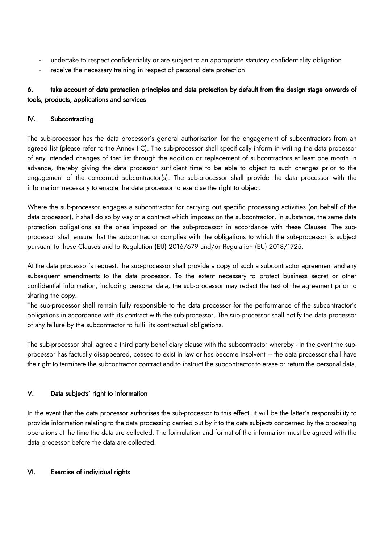- undertake to respect confidentiality or are subject to an appropriate statutory confidentiality obligation
- receive the necessary training in respect of personal data protection

#### 6. take account of data protection principles and data protection by default from the design stage onwards of tools, products, applications and services

#### IV. Subcontracting

The sub-processor has the data processor's general authorisation for the engagement of subcontractors from an agreed list (please refer to the Annex I.C). The sub-processor shall specifically inform in writing the data processor of any intended changes of that list through the addition or replacement of subcontractors at least one month in advance, thereby giving the data processor sufficient time to be able to object to such changes prior to the engagement of the concerned subcontractor(s). The sub-processor shall provide the data processor with the information necessary to enable the data processor to exercise the right to object.

Where the sub-processor engages a subcontractor for carrying out specific processing activities (on behalf of the data processor), it shall do so by way of a contract which imposes on the subcontractor, in substance, the same data protection obligations as the ones imposed on the sub-processor in accordance with these Clauses. The subprocessor shall ensure that the subcontractor complies with the obligations to which the sub-processor is subject pursuant to these Clauses and to Regulation (EU) 2016/679 and/or Regulation (EU) 2018/1725.

At the data processor's request, the sub-processor shall provide a copy of such a subcontractor agreement and any subsequent amendments to the data processor. To the extent necessary to protect business secret or other confidential information, including personal data, the sub-processor may redact the text of the agreement prior to sharing the copy.

The sub-processor shall remain fully responsible to the data processor for the performance of the subcontractor's obligations in accordance with its contract with the sub-processor. The sub-processor shall notify the data processor of any failure by the subcontractor to fulfil its contractual obligations.

The sub-processor shall agree a third party beneficiary clause with the subcontractor whereby - in the event the subprocessor has factually disappeared, ceased to exist in law or has become insolvent – the data processor shall have the right to terminate the subcontractor contract and to instruct the subcontractor to erase or return the personal data.

#### V. Data subjects' right to information

In the event that the data processor authorises the sub-processor to this effect, it will be the latter's responsibility to provide information relating to the data processing carried out by it to the data subjects concerned by the processing operations at the time the data are collected. The formulation and format of the information must be agreed with the data processor before the data are collected.

#### VI. Exercise of individual rights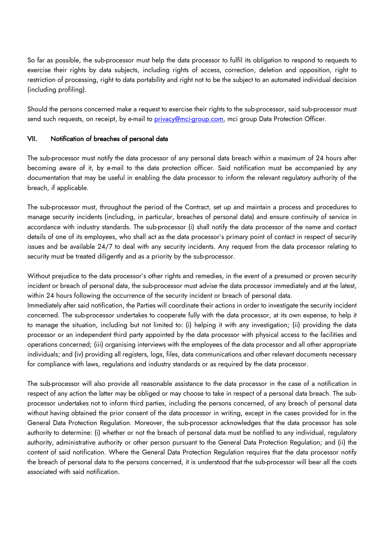So far as possible, the sub-processor must help the data processor to fulfil its obligation to respond to requests to exercise their rights by data subjects, including rights of access, correction, deletion and opposition, right to restriction of processing, right to data portability and right not to be the subject to an automated individual decision (including profiling).

Should the persons concerned make a request to exercise their rights to the sub-processor, said sub-processor must send such requests, on receipt, by e-mail to privacy@mci-group.com, mci group Data Protection Officer.

#### VII. Notification of breaches of personal data

The sub-processor must notify the data processor of any personal data breach within a maximum of 24 hours after becoming aware of it, by e-mail to the data protection officer. Said notification must be accompanied by any documentation that may be useful in enabling the data processor to inform the relevant regulatory authority of the breach, if applicable.

The sub-processor must, throughout the period of the Contract, set up and maintain a process and procedures to manage security incidents (including, in particular, breaches of personal data) and ensure continuity of service in accordance with industry standards. The sub-processor (i) shall notify the data processor of the name and contact details of one of its employees, who shall act as the data processor's primary point of contact in respect of security issues and be available 24/7 to deal with any security incidents. Any request from the data processor relating to security must be treated diligently and as a priority by the sub-processor.

Without prejudice to the data processor's other rights and remedies, in the event of a presumed or proven security incident or breach of personal data, the sub-processor must advise the data processor immediately and at the latest, within 24 hours following the occurrence of the security incident or breach of personal data.

Immediately after said notification, the Parties will coordinate their actions in order to investigate the security incident concerned. The sub-processor undertakes to cooperate fully with the data processor, at its own expense, to help it to manage the situation, including but not limited to: (i) helping it with any investigation; (ii) providing the data processor or an independent third party appointed by the data processor with physical access to the facilities and operations concerned; (iii) organising interviews with the employees of the data processor and all other appropriate individuals; and (iv) providing all registers, logs, files, data communications and other relevant documents necessary for compliance with laws, regulations and industry standards or as required by the data processor.

The sub-processor will also provide all reasonable assistance to the data processor in the case of a notification in respect of any action the latter may be obliged or may choose to take in respect of a personal data breach. The subprocessor undertakes not to inform third parties, including the persons concerned, of any breach of personal data without having obtained the prior consent of the data processor in writing, except in the cases provided for in the General Data Protection Regulation. Moreover, the sub-processor acknowledges that the data processor has sole authority to determine: (i) whether or not the breach of personal data must be notified to any individual, regulatory authority, administrative authority or other person pursuant to the General Data Protection Regulation; and (ii) the content of said notification. Where the General Data Protection Regulation requires that the data processor notify the breach of personal data to the persons concerned, it is understood that the sub-processor will bear all the costs associated with said notification.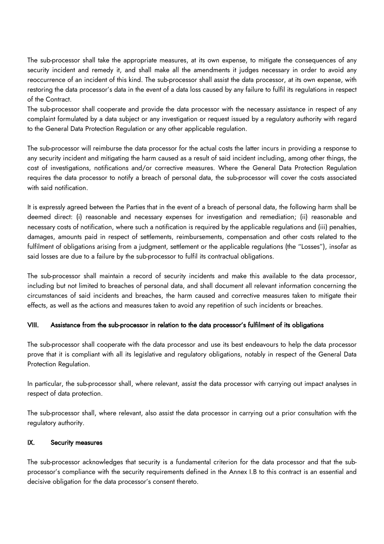The sub-processor shall take the appropriate measures, at its own expense, to mitigate the consequences of any security incident and remedy it, and shall make all the amendments it judges necessary in order to avoid any reoccurrence of an incident of this kind. The sub-processor shall assist the data processor, at its own expense, with restoring the data processor's data in the event of a data loss caused by any failure to fulfil its regulations in respect of the Contract.

The sub-processor shall cooperate and provide the data processor with the necessary assistance in respect of any complaint formulated by a data subject or any investigation or request issued by a regulatory authority with regard to the General Data Protection Regulation or any other applicable regulation.

The sub-processor will reimburse the data processor for the actual costs the latter incurs in providing a response to any security incident and mitigating the harm caused as a result of said incident including, among other things, the cost of investigations, notifications and/or corrective measures. Where the General Data Protection Regulation requires the data processor to notify a breach of personal data, the sub-processor will cover the costs associated with said notification.

It is expressly agreed between the Parties that in the event of a breach of personal data, the following harm shall be deemed direct: (i) reasonable and necessary expenses for investigation and remediation; (ii) reasonable and necessary costs of notification, where such a notification is required by the applicable regulations and (iii) penalties, damages, amounts paid in respect of settlements, reimbursements, compensation and other costs related to the fulfilment of obligations arising from a judgment, settlement or the applicable regulations (the "Losses"), insofar as said losses are due to a failure by the sub-processor to fulfil its contractual obligations.

The sub-processor shall maintain a record of security incidents and make this available to the data processor, including but not limited to breaches of personal data, and shall document all relevant information concerning the circumstances of said incidents and breaches, the harm caused and corrective measures taken to mitigate their effects, as well as the actions and measures taken to avoid any repetition of such incidents or breaches.

#### VIII. Assistance from the sub-processor in relation to the data processor's fulfilment of its obligations

The sub-processor shall cooperate with the data processor and use its best endeavours to help the data processor prove that it is compliant with all its legislative and regulatory obligations, notably in respect of the General Data Protection Regulation.

In particular, the sub-processor shall, where relevant, assist the data processor with carrying out impact analyses in respect of data protection.

The sub-processor shall, where relevant, also assist the data processor in carrying out a prior consultation with the regulatory authority.

#### IX. Security measures

The sub-processor acknowledges that security is a fundamental criterion for the data processor and that the subprocessor's compliance with the security requirements defined in the Annex I.B to this contract is an essential and decisive obligation for the data processor's consent thereto.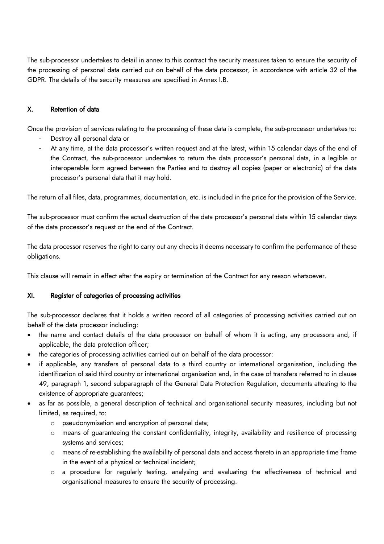The sub-processor undertakes to detail in annex to this contract the security measures taken to ensure the security of the processing of personal data carried out on behalf of the data processor, in accordance with article 32 of the GDPR. The details of the security measures are specified in Annex I.B.

#### X. Retention of data

Once the provision of services relating to the processing of these data is complete, the sub-processor undertakes to:

- Destroy all personal data or
- At any time, at the data processor's written request and at the latest, within 15 calendar days of the end of the Contract, the sub-processor undertakes to return the data processor's personal data, in a legible or interoperable form agreed between the Parties and to destroy all copies (paper or electronic) of the data processor's personal data that it may hold.

The return of all files, data, programmes, documentation, etc. is included in the price for the provision of the Service.

The sub-processor must confirm the actual destruction of the data processor's personal data within 15 calendar days of the data processor's request or the end of the Contract.

The data processor reserves the right to carry out any checks it deems necessary to confirm the performance of these obligations.

This clause will remain in effect after the expiry or termination of the Contract for any reason whatsoever.

#### XI. Register of categories of processing activities

The sub-processor declares that it holds a written record of all categories of processing activities carried out on behalf of the data processor including:

- the name and contact details of the data processor on behalf of whom it is acting, any processors and, if applicable, the data protection officer;
- the categories of processing activities carried out on behalf of the data processor:
- if applicable, any transfers of personal data to a third country or international organisation, including the identification of said third country or international organisation and, in the case of transfers referred to in clause 49, paragraph 1, second subparagraph of the General Data Protection Regulation, documents attesting to the existence of appropriate guarantees;
- as far as possible, a general description of technical and organisational security measures, including but not limited, as required, to:
	- o pseudonymisation and encryption of personal data;
	- o means of guaranteeing the constant confidentiality, integrity, availability and resilience of processing systems and services;
	- o means of re-establishing the availability of personal data and access thereto in an appropriate time frame in the event of a physical or technical incident;
	- o a procedure for regularly testing, analysing and evaluating the effectiveness of technical and organisational measures to ensure the security of processing.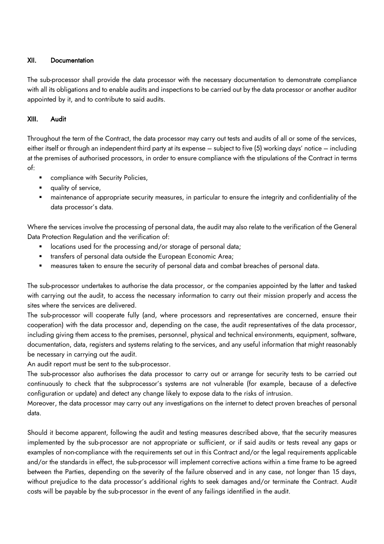#### XII. Documentation

The sub-processor shall provide the data processor with the necessary documentation to demonstrate compliance with all its obligations and to enable audits and inspections to be carried out by the data processor or another auditor appointed by it, and to contribute to said audits.

#### XIII. Audit

Throughout the term of the Contract, the data processor may carry out tests and audits of all or some of the services, either itself or through an independent third party at its expense – subject to five (5) working days' notice – including at the premises of authorised processors, in order to ensure compliance with the stipulations of the Contract in terms of:

- compliance with Security Policies,
- **•** quality of service,
- maintenance of appropriate security measures, in particular to ensure the integrity and confidentiality of the data processor's data.

Where the services involve the processing of personal data, the audit may also relate to the verification of the General Data Protection Regulation and the verification of:

- locations used for the processing and/or storage of personal data;
- **transfers of personal data outside the European Economic Area;**
- measures taken to ensure the security of personal data and combat breaches of personal data.

The sub-processor undertakes to authorise the data processor, or the companies appointed by the latter and tasked with carrying out the audit, to access the necessary information to carry out their mission properly and access the sites where the services are delivered.

The sub-processor will cooperate fully (and, where processors and representatives are concerned, ensure their cooperation) with the data processor and, depending on the case, the audit representatives of the data processor, including giving them access to the premises, personnel, physical and technical environments, equipment, software, documentation, data, registers and systems relating to the services, and any useful information that might reasonably be necessary in carrying out the audit.

An audit report must be sent to the sub-processor.

The sub-processor also authorises the data processor to carry out or arrange for security tests to be carried out continuously to check that the subprocessor's systems are not vulnerable (for example, because of a defective configuration or update) and detect any change likely to expose data to the risks of intrusion.

Moreover, the data processor may carry out any investigations on the internet to detect proven breaches of personal data.

Should it become apparent, following the audit and testing measures described above, that the security measures implemented by the sub-processor are not appropriate or sufficient, or if said audits or tests reveal any gaps or examples of non-compliance with the requirements set out in this Contract and/or the legal requirements applicable and/or the standards in effect, the sub-processor will implement corrective actions within a time frame to be agreed between the Parties, depending on the severity of the failure observed and in any case, not longer than 15 days, without prejudice to the data processor's additional rights to seek damages and/or terminate the Contract. Audit costs will be payable by the sub-processor in the event of any failings identified in the audit.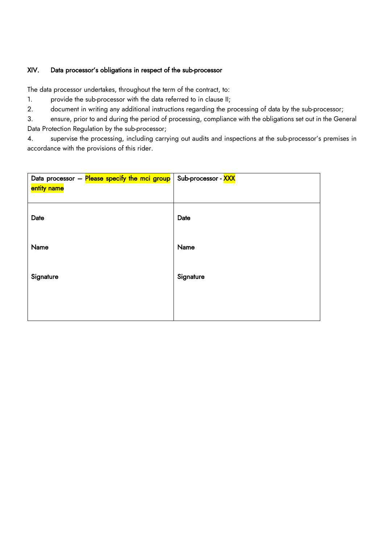#### XIV. Data processor's obligations in respect of the sub-processor

The data processor undertakes, throughout the term of the contract, to:

- 1. provide the sub-processor with the data referred to in clause II;
- 2. document in writing any additional instructions regarding the processing of data by the sub-processor;

3. ensure, prior to and during the period of processing, compliance with the obligations set out in the General Data Protection Regulation by the sub-processor;

4. supervise the processing, including carrying out audits and inspections at the sub-processor's premises in accordance with the provisions of this rider.

| Data processor $-$ Please specify the mci group<br>entity name | Sub-processor - XXX |
|----------------------------------------------------------------|---------------------|
| Date                                                           | Date                |
| <b>Name</b>                                                    | Name                |
| Signature                                                      | Signature           |
|                                                                |                     |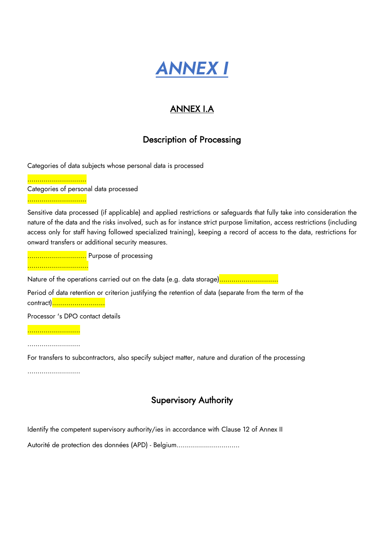# *ANNEX I*

# ANNEX I.A

# Description of Processing

Categories of data subjects whose personal data is processed

............................. Categories of personal data processed

<mark>..........................</mark>

Sensitive data processed (if applicable) and applied restrictions or safeguards that fully take into consideration the nature of the data and the risks involved, such as for instance strict purpose limitation, access restrictions (including access only for staff having followed specialized training), keeping a record of access to the data, restrictions for onward transfers or additional security measures.

.................................. Purpose of processing ..............................

Nature of the operations carried out on the data (e.g. data storage)...............................

Period of data retention or criterion justifying the retention of data (separate from the term of the contract)..........................

Processor 's DPO contact details

<mark>...</mark>......................

..........................

For transfers to subcontractors, also specify subject matter, nature and duration of the processing

..........................

# Supervisory Authority

Identify the competent supervisory authority/ies in accordance with Clause 12 of Annex II

Autorité de protection des données (APD) - Belgium..............................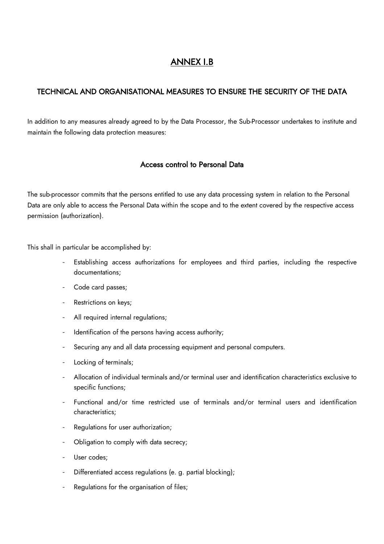# ANNEX I.B

#### TECHNICAL AND ORGANISATIONAL MEASURES TO ENSURE THE SECURITY OF THE DATA

In addition to any measures already agreed to by the Data Processor, the Sub-Processor undertakes to institute and maintain the following data protection measures:

#### Access control to Personal Data

The sub-processor commits that the persons entitled to use any data processing system in relation to the Personal Data are only able to access the Personal Data within the scope and to the extent covered by the respective access permission (authorization).

This shall in particular be accomplished by:

- Establishing access authorizations for employees and third parties, including the respective documentations;
- Code card passes;
- Restrictions on keys;
- All required internal regulations;
- Identification of the persons having access authority;
- Securing any and all data processing equipment and personal computers.
- Locking of terminals;
- Allocation of individual terminals and/or terminal user and identification characteristics exclusive to specific functions;
- Functional and/or time restricted use of terminals and/or terminal users and identification characteristics;
- Regulations for user authorization;
- Obligation to comply with data secrecy;
- User codes:
- Differentiated access regulations (e. g. partial blocking);
- Regulations for the organisation of files;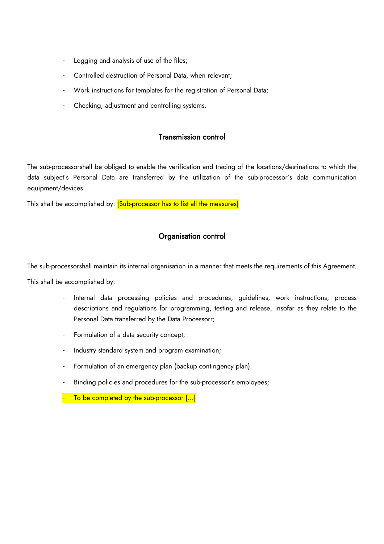- Logging and analysis of use of the files;
- Controlled destruction of Personal Data, when relevant;
- Work instructions for templates for the registration of Personal Data;
- Checking, adjustment and controlling systems.

#### Transmission control

The sub-processorshall be obliged to enable the verification and tracing of the locations/destinations to which the data subject's Personal Data are transferred by the utilization of the sub-processor's data communication equipment/devices.

This shall be accomplished by: **[Sub-processor has to list all the measures]** 

#### Organisation control

The sub-processorshall maintain its internal organisation in a manner that meets the requirements of this Agreement.

This shall be accomplished by:

- Internal data processing policies and procedures, guidelines, work instructions, process descriptions and regulations for programming, testing and release, insofar as they relate to the Personal Data transferred by the Data Processorr;
- Formulation of a data security concept;
- Industry standard system and program examination;
- Formulation of an emergency plan (backup contingency plan).
- Binding policies and procedures for the sub-processor's employees;
- To be completed by the sub-processor [...]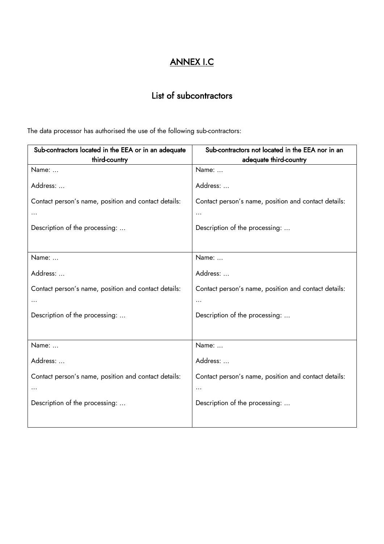# ANNEX I.C

# List of subcontractors

The data processor has authorised the use of the following sub-contractors:

| Sub-contractors located in the EEA or in an adequate<br>third-country | Sub-contractors not located in the EEA nor in an<br>adequate third-country |
|-----------------------------------------------------------------------|----------------------------------------------------------------------------|
| Name:                                                                 | Name:                                                                      |
| Address:                                                              | Address:                                                                   |
| Contact person's name, position and contact details:                  | Contact person's name, position and contact details:                       |
|                                                                       | $\cdots$                                                                   |
| Description of the processing:                                        | Description of the processing:                                             |
|                                                                       |                                                                            |
| Name:                                                                 | Name:                                                                      |
| Address:                                                              | Address:                                                                   |
| Contact person's name, position and contact details:                  | Contact person's name, position and contact details:                       |
|                                                                       | .                                                                          |
| Description of the processing:                                        | Description of the processing:                                             |
|                                                                       |                                                                            |
| Name:                                                                 | Name:                                                                      |
| Address:                                                              | Address:                                                                   |
| Contact person's name, position and contact details:                  | Contact person's name, position and contact details:                       |
|                                                                       | $\ddots$                                                                   |
| Description of the processing:                                        | Description of the processing:                                             |
|                                                                       |                                                                            |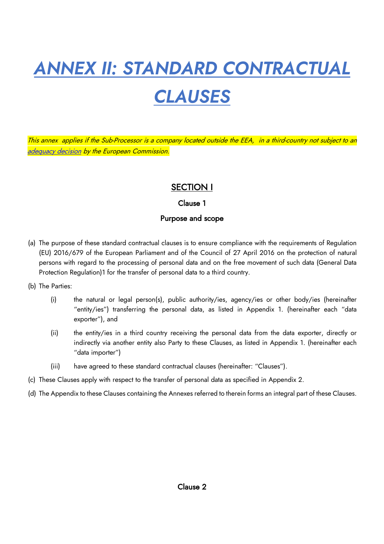# *ANNEX II: STANDARD CONTRACTUAL*

# *CLAUSES*

This annex applies if the Sub-Processor is a company located outside the EEA, in a third-country not subject to an adequacy decision by the European Commission.

# SECTION I

## Clause 1

## Purpose and scope

- (a) The purpose of these standard contractual clauses is to ensure compliance with the requirements of Regulation (EU) 2016/679 of the European Parliament and of the Council of 27 April 2016 on the protection of natural persons with regard to the processing of personal data and on the free movement of such data (General Data Protection Regulation)1 for the transfer of personal data to a third country.
- (b) The Parties:
	- (i) the natural or legal person(s), public authority/ies, agency/ies or other body/ies (hereinafter "entity/ies") transferring the personal data, as listed in Appendix 1. (hereinafter each "data exporter"), and
	- (ii) the entity/ies in a third country receiving the personal data from the data exporter, directly or indirectly via another entity also Party to these Clauses, as listed in Appendix 1. (hereinafter each "data importer")
	- (iii) have agreed to these standard contractual clauses (hereinafter: "Clauses").
- (c) These Clauses apply with respect to the transfer of personal data as specified in Appendix 2.
- (d) The Appendix to these Clauses containing the Annexes referred to therein forms an integral part of these Clauses.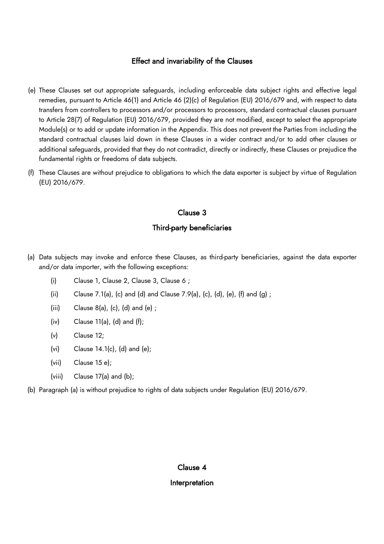#### Effect and invariability of the Clauses

- (e) These Clauses set out appropriate safeguards, including enforceable data subject rights and effective legal remedies, pursuant to Article 46(1) and Article 46 (2)(c) of Regulation (EU) 2016/679 and, with respect to data transfers from controllers to processors and/or processors to processors, standard contractual clauses pursuant to Article 28(7) of Regulation (EU) 2016/679, provided they are not modified, except to select the appropriate Module(s) or to add or update information in the Appendix. This does not prevent the Parties from including the standard contractual clauses laid down in these Clauses in a wider contract and/or to add other clauses or additional safeguards, provided that they do not contradict, directly or indirectly, these Clauses or prejudice the fundamental rights or freedoms of data subjects.
- (f) These Clauses are without prejudice to obligations to which the data exporter is subject by virtue of Regulation (EU) 2016/679.

#### Clause 3

#### Third-party beneficiaries

- (a) Data subjects may invoke and enforce these Clauses, as third-party beneficiaries, against the data exporter and/or data importer, with the following exceptions:
	- (i) Clause 1, Clause 2, Clause 3, Clause 6 ;
	- (ii) Clause 7.1(a), (c) and (d) and Clause 7.9(a), (c), (d), (e), (f) and (g);
	- (iii) Clause  $8(a)$ ,  $(c)$ ,  $(d)$  and  $(e)$ ;
	- $(iv)$  Clause 11(a), (d) and (f);
	- (v) Clause 12;
	- (vi) Clause 14.1(c), (d) and (e);
	- $(vii)$  Clause 15 e);
	- (viii) Clause 17(a) and (b);
- (b) Paragraph (a) is without prejudice to rights of data subjects under Regulation (EU) 2016/679.

#### Clause 4

#### Interpretation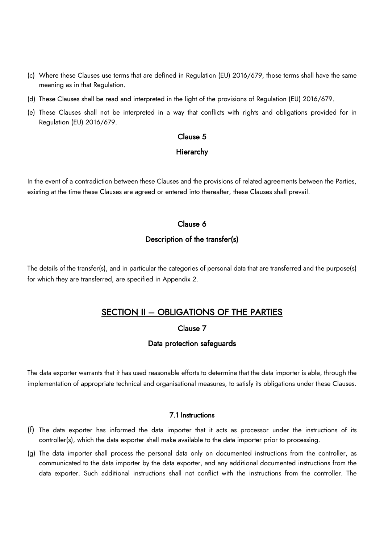- (c) Where these Clauses use terms that are defined in Regulation (EU) 2016/679, those terms shall have the same meaning as in that Regulation.
- (d) These Clauses shall be read and interpreted in the light of the provisions of Regulation (EU) 2016/679.
- (e) These Clauses shall not be interpreted in a way that conflicts with rights and obligations provided for in Regulation (EU) 2016/679.

### Clause 5

#### **Hierarchy**

In the event of a contradiction between these Clauses and the provisions of related agreements between the Parties, existing at the time these Clauses are agreed or entered into thereafter, these Clauses shall prevail.

#### Clause 6

#### Description of the transfer(s)

The details of the transfer(s), and in particular the categories of personal data that are transferred and the purpose(s) for which they are transferred, are specified in Appendix 2.

#### SECTION II – OBLIGATIONS OF THE PARTIES

#### Clause 7

#### Data protection safeguards

The data exporter warrants that it has used reasonable efforts to determine that the data importer is able, through the implementation of appropriate technical and organisational measures, to satisfy its obligations under these Clauses.

#### 7.1 Instructions

- (f) The data exporter has informed the data importer that it acts as processor under the instructions of its controller(s), which the data exporter shall make available to the data importer prior to processing.
- (g) The data importer shall process the personal data only on documented instructions from the controller, as communicated to the data importer by the data exporter, and any additional documented instructions from the data exporter. Such additional instructions shall not conflict with the instructions from the controller. The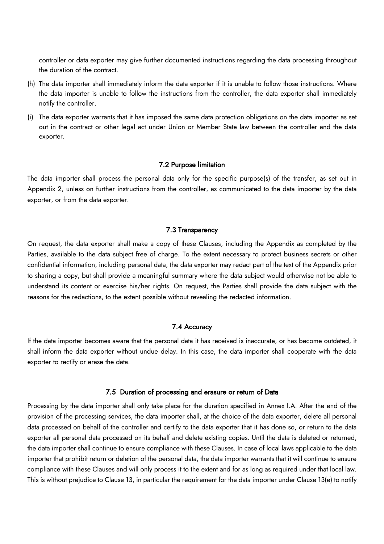controller or data exporter may give further documented instructions regarding the data processing throughout the duration of the contract.

- (h) The data importer shall immediately inform the data exporter if it is unable to follow those instructions. Where the data importer is unable to follow the instructions from the controller, the data exporter shall immediately notify the controller.
- (i) The data exporter warrants that it has imposed the same data protection obligations on the data importer as set out in the contract or other legal act under Union or Member State law between the controller and the data exporter.

#### 7.2 Purpose limitation

The data importer shall process the personal data only for the specific purpose(s) of the transfer, as set out in Appendix 2, unless on further instructions from the controller, as communicated to the data importer by the data exporter, or from the data exporter.

#### 7.3 Transparency

On request, the data exporter shall make a copy of these Clauses, including the Appendix as completed by the Parties, available to the data subject free of charge. To the extent necessary to protect business secrets or other confidential information, including personal data, the data exporter may redact part of the text of the Appendix prior to sharing a copy, but shall provide a meaningful summary where the data subject would otherwise not be able to understand its content or exercise his/her rights. On request, the Parties shall provide the data subject with the reasons for the redactions, to the extent possible without revealing the redacted information.

#### 7.4 Accuracy

If the data importer becomes aware that the personal data it has received is inaccurate, or has become outdated, it shall inform the data exporter without undue delay. In this case, the data importer shall cooperate with the data exporter to rectify or erase the data.

#### 7.5 Duration of processing and erasure or return of Data

Processing by the data importer shall only take place for the duration specified in Annex I.A. After the end of the provision of the processing services, the data importer shall, at the choice of the data exporter, delete all personal data processed on behalf of the controller and certify to the data exporter that it has done so, or return to the data exporter all personal data processed on its behalf and delete existing copies. Until the data is deleted or returned, the data importer shall continue to ensure compliance with these Clauses. In case of local laws applicable to the data importer that prohibit return or deletion of the personal data, the data importer warrants that it will continue to ensure compliance with these Clauses and will only process it to the extent and for as long as required under that local law. This is without prejudice to Clause 13, in particular the requirement for the data importer under Clause 13(e) to notify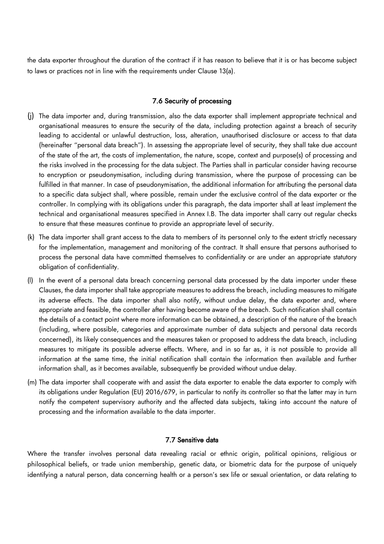the data exporter throughout the duration of the contract if it has reason to believe that it is or has become subject to laws or practices not in line with the requirements under Clause 13(a).

#### 7.6 Security of processing

- (j) The data importer and, during transmission, also the data exporter shall implement appropriate technical and organisational measures to ensure the security of the data, including protection against a breach of security leading to accidental or unlawful destruction, loss, alteration, unauthorised disclosure or access to that data (hereinafter "personal data breach"). In assessing the appropriate level of security, they shall take due account of the state of the art, the costs of implementation, the nature, scope, context and purpose(s) of processing and the risks involved in the processing for the data subject. The Parties shall in particular consider having recourse to encryption or pseudonymisation, including during transmission, where the purpose of processing can be fulfilled in that manner. In case of pseudonymisation, the additional information for attributing the personal data to a specific data subject shall, where possible, remain under the exclusive control of the data exporter or the controller. In complying with its obligations under this paragraph, the data importer shall at least implement the technical and organisational measures specified in Annex I.B. The data importer shall carry out regular checks to ensure that these measures continue to provide an appropriate level of security.
- (k) The data importer shall grant access to the data to members of its personnel only to the extent strictly necessary for the implementation, management and monitoring of the contract. It shall ensure that persons authorised to process the personal data have committed themselves to confidentiality or are under an appropriate statutory obligation of confidentiality.
- (l) In the event of a personal data breach concerning personal data processed by the data importer under these Clauses, the data importer shall take appropriate measures to address the breach, including measures to mitigate its adverse effects. The data importer shall also notify, without undue delay, the data exporter and, where appropriate and feasible, the controller after having become aware of the breach. Such notification shall contain the details of a contact point where more information can be obtained, a description of the nature of the breach (including, where possible, categories and approximate number of data subjects and personal data records concerned), its likely consequences and the measures taken or proposed to address the data breach, including measures to mitigate its possible adverse effects. Where, and in so far as, it is not possible to provide all information at the same time, the initial notification shall contain the information then available and further information shall, as it becomes available, subsequently be provided without undue delay.
- (m) The data importer shall cooperate with and assist the data exporter to enable the data exporter to comply with its obligations under Regulation (EU) 2016/679, in particular to notify its controller so that the latter may in turn notify the competent supervisory authority and the affected data subjects, taking into account the nature of processing and the information available to the data importer.

#### 7.7 Sensitive data

Where the transfer involves personal data revealing racial or ethnic origin, political opinions, religious or philosophical beliefs, or trade union membership, genetic data, or biometric data for the purpose of uniquely identifying a natural person, data concerning health or a person's sex life or sexual orientation, or data relating to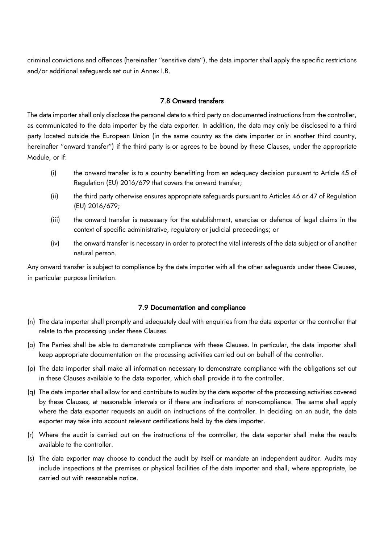criminal convictions and offences (hereinafter "sensitive data"), the data importer shall apply the specific restrictions and/or additional safeguards set out in Annex I.B.

#### 7.8 Onward transfers

The data importer shall only disclose the personal data to a third party on documented instructions from the controller, as communicated to the data importer by the data exporter. In addition, the data may only be disclosed to a third party located outside the European Union (in the same country as the data importer or in another third country, hereinafter "onward transfer") if the third party is or agrees to be bound by these Clauses, under the appropriate Module, or if:

- (i) the onward transfer is to a country benefitting from an adequacy decision pursuant to Article 45 of Regulation (EU) 2016/679 that covers the onward transfer;
- (ii) the third party otherwise ensures appropriate safeguards pursuant to Articles 46 or 47 of Regulation (EU) 2016/679;
- (iii) the onward transfer is necessary for the establishment, exercise or defence of legal claims in the context of specific administrative, regulatory or judicial proceedings; or
- (iv) the onward transfer is necessary in order to protect the vital interests of the data subject or of another natural person.

Any onward transfer is subject to compliance by the data importer with all the other safeguards under these Clauses, in particular purpose limitation.

#### 7.9 Documentation and compliance

- (n) The data importer shall promptly and adequately deal with enquiries from the data exporter or the controller that relate to the processing under these Clauses.
- (o) The Parties shall be able to demonstrate compliance with these Clauses. In particular, the data importer shall keep appropriate documentation on the processing activities carried out on behalf of the controller.
- (p) The data importer shall make all information necessary to demonstrate compliance with the obligations set out in these Clauses available to the data exporter, which shall provide it to the controller.
- (q) The data importer shall allow for and contribute to audits by the data exporter of the processing activities covered by these Clauses, at reasonable intervals or if there are indications of non-compliance. The same shall apply where the data exporter requests an audit on instructions of the controller. In deciding on an audit, the data exporter may take into account relevant certifications held by the data importer.
- (r) Where the audit is carried out on the instructions of the controller, the data exporter shall make the results available to the controller.
- (s) The data exporter may choose to conduct the audit by itself or mandate an independent auditor. Audits may include inspections at the premises or physical facilities of the data importer and shall, where appropriate, be carried out with reasonable notice.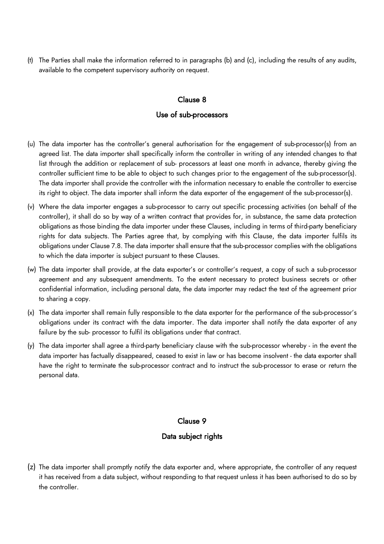(t) The Parties shall make the information referred to in paragraphs (b) and (c), including the results of any audits, available to the competent supervisory authority on request.

# Clause 8 Use of sub-processors

- (u) The data importer has the controller's general authorisation for the engagement of sub-processor(s) from an agreed list. The data importer shall specifically inform the controller in writing of any intended changes to that list through the addition or replacement of sub- processors at least one month in advance, thereby giving the controller sufficient time to be able to object to such changes prior to the engagement of the sub-processor(s). The data importer shall provide the controller with the information necessary to enable the controller to exercise its right to object. The data importer shall inform the data exporter of the engagement of the sub-processor(s).
- (v) Where the data importer engages a sub-processor to carry out specific processing activities (on behalf of the controller), it shall do so by way of a written contract that provides for, in substance, the same data protection obligations as those binding the data importer under these Clauses, including in terms of third-party beneficiary rights for data subjects. The Parties agree that, by complying with this Clause, the data importer fulfils its obligations under Clause 7.8. The data importer shall ensure that the sub-processor complies with the obligations to which the data importer is subject pursuant to these Clauses.
- (w) The data importer shall provide, at the data exporter's or controller's request, a copy of such a sub-processor agreement and any subsequent amendments. To the extent necessary to protect business secrets or other confidential information, including personal data, the data importer may redact the text of the agreement prior to sharing a copy.
- (x) The data importer shall remain fully responsible to the data exporter for the performance of the sub-processor's obligations under its contract with the data importer. The data importer shall notify the data exporter of any failure by the sub- processor to fulfil its obligations under that contract.
- (y) The data importer shall agree a third-party beneficiary clause with the sub-processor whereby in the event the data importer has factually disappeared, ceased to exist in law or has become insolvent - the data exporter shall have the right to terminate the sub-processor contract and to instruct the sub-processor to erase or return the personal data.

#### Clause 9

#### Data subject rights

(z) The data importer shall promptly notify the data exporter and, where appropriate, the controller of any request it has received from a data subject, without responding to that request unless it has been authorised to do so by the controller.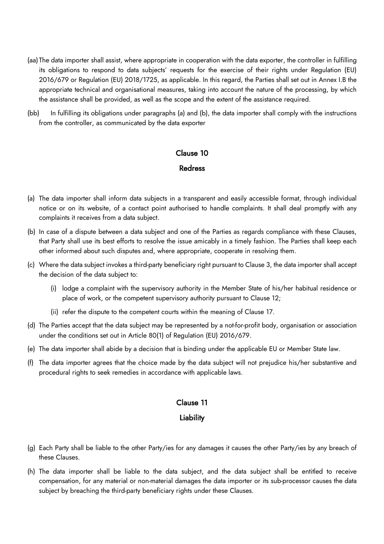- (aa) The data importer shall assist, where appropriate in cooperation with the data exporter, the controller in fulfilling its obligations to respond to data subjects' requests for the exercise of their rights under Regulation (EU) 2016/679 or Regulation (EU) 2018/1725, as applicable. In this regard, the Parties shall set out in Annex I.B the appropriate technical and organisational measures, taking into account the nature of the processing, by which the assistance shall be provided, as well as the scope and the extent of the assistance required.
- (bb) In fulfilling its obligations under paragraphs (a) and (b), the data importer shall comply with the instructions from the controller, as communicated by the data exporter

#### Clause 10

#### Redress

- (a) The data importer shall inform data subjects in a transparent and easily accessible format, through individual notice or on its website, of a contact point authorised to handle complaints. It shall deal promptly with any complaints it receives from a data subject.
- (b) In case of a dispute between a data subject and one of the Parties as regards compliance with these Clauses, that Party shall use its best efforts to resolve the issue amicably in a timely fashion. The Parties shall keep each other informed about such disputes and, where appropriate, cooperate in resolving them.
- (c) Where the data subject invokes a third-party beneficiary right pursuant to Clause 3, the data importer shall accept the decision of the data subject to:
	- (i) lodge a complaint with the supervisory authority in the Member State of his/her habitual residence or place of work, or the competent supervisory authority pursuant to Clause 12;
	- (ii) refer the dispute to the competent courts within the meaning of Clause 17.
- (d) The Parties accept that the data subject may be represented by a not-for-profit body, organisation or association under the conditions set out in Article 80(1) of Regulation (EU) 2016/679.
- (e) The data importer shall abide by a decision that is binding under the applicable EU or Member State law.
- (f) The data importer agrees that the choice made by the data subject will not prejudice his/her substantive and procedural rights to seek remedies in accordance with applicable laws.

#### Clause 11

#### **Liability**

- (g) Each Party shall be liable to the other Party/ies for any damages it causes the other Party/ies by any breach of these Clauses.
- (h) The data importer shall be liable to the data subject, and the data subject shall be entitled to receive compensation, for any material or non-material damages the data importer or its sub-processor causes the data subject by breaching the third-party beneficiary rights under these Clauses.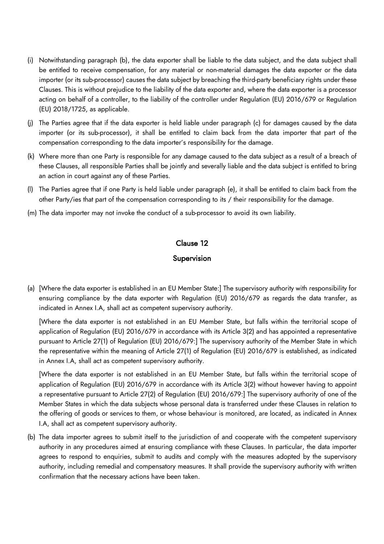- (i) Notwithstanding paragraph (b), the data exporter shall be liable to the data subject, and the data subject shall be entitled to receive compensation, for any material or non-material damages the data exporter or the data importer (or its sub-processor) causes the data subject by breaching the third-party beneficiary rights under these Clauses. This is without prejudice to the liability of the data exporter and, where the data exporter is a processor acting on behalf of a controller, to the liability of the controller under Regulation (EU) 2016/679 or Regulation (EU) 2018/1725, as applicable.
- (j) The Parties agree that if the data exporter is held liable under paragraph (c) for damages caused by the data importer (or its sub-processor), it shall be entitled to claim back from the data importer that part of the compensation corresponding to the data importer's responsibility for the damage.
- (k) Where more than one Party is responsible for any damage caused to the data subject as a result of a breach of these Clauses, all responsible Parties shall be jointly and severally liable and the data subject is entitled to bring an action in court against any of these Parties.
- (l) The Parties agree that if one Party is held liable under paragraph (e), it shall be entitled to claim back from the other Party/ies that part of the compensation corresponding to its / their responsibility for the damage.
- (m) The data importer may not invoke the conduct of a sub-processor to avoid its own liability.

#### Clause 12

#### Supervision

(a) [Where the data exporter is established in an EU Member State:] The supervisory authority with responsibility for ensuring compliance by the data exporter with Regulation (EU) 2016/679 as regards the data transfer, as indicated in Annex I.A, shall act as competent supervisory authority.

[Where the data exporter is not established in an EU Member State, but falls within the territorial scope of application of Regulation (EU) 2016/679 in accordance with its Article 3(2) and has appointed a representative pursuant to Article 27(1) of Regulation (EU) 2016/679:] The supervisory authority of the Member State in which the representative within the meaning of Article 27(1) of Regulation (EU) 2016/679 is established, as indicated in Annex I.A, shall act as competent supervisory authority.

[Where the data exporter is not established in an EU Member State, but falls within the territorial scope of application of Regulation (EU) 2016/679 in accordance with its Article 3(2) without however having to appoint a representative pursuant to Article 27(2) of Regulation (EU) 2016/679:] The supervisory authority of one of the Member States in which the data subjects whose personal data is transferred under these Clauses in relation to the offering of goods or services to them, or whose behaviour is monitored, are located, as indicated in Annex I.A, shall act as competent supervisory authority.

(b) The data importer agrees to submit itself to the jurisdiction of and cooperate with the competent supervisory authority in any procedures aimed at ensuring compliance with these Clauses. In particular, the data importer agrees to respond to enquiries, submit to audits and comply with the measures adopted by the supervisory authority, including remedial and compensatory measures. It shall provide the supervisory authority with written confirmation that the necessary actions have been taken.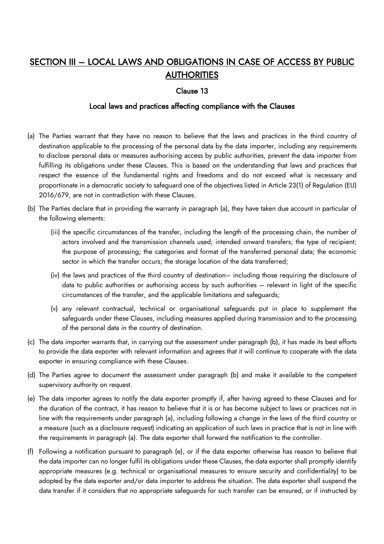# SECTION III – LOCAL LAWS AND OBLIGATIONS IN CASE OF ACCESS BY PUBLIC **AUTHORITIES**

#### Clause 13

#### Local laws and practices affecting compliance with the Clauses

- (a) The Parties warrant that they have no reason to believe that the laws and practices in the third country of destination applicable to the processing of the personal data by the data importer, including any requirements to disclose personal data or measures authorising access by public authorities, prevent the data importer from fulfilling its obligations under these Clauses. This is based on the understanding that laws and practices that respect the essence of the fundamental rights and freedoms and do not exceed what is necessary and proportionate in a democratic society to safeguard one of the objectives listed in Article 23(1) of Regulation (EU) 2016/679, are not in contradiction with these Clauses.
- (b) The Parties declare that in providing the warranty in paragraph (a), they have taken due account in particular of the following elements:
	- (iii) the specific circumstances of the transfer, including the length of the processing chain, the number of actors involved and the transmission channels used; intended onward transfers; the type of recipient; the purpose of processing; the categories and format of the transferred personal data; the economic sector in which the transfer occurs; the storage location of the data transferred;
	- (iv) the laws and practices of the third country of destination– including those requiring the disclosure of data to public authorities or authorising access by such authorities – relevant in light of the specific circumstances of the transfer, and the applicable limitations and safeguards;
	- (v) any relevant contractual, technical or organisational safeguards put in place to supplement the safeguards under these Clauses, including measures applied during transmission and to the processing of the personal data in the country of destination.
- (c) The data importer warrants that, in carrying out the assessment under paragraph (b), it has made its best efforts to provide the data exporter with relevant information and agrees that it will continue to cooperate with the data exporter in ensuring compliance with these Clauses.
- (d) The Parties agree to document the assessment under paragraph (b) and make it available to the competent supervisory authority on request.
- (e) The data importer agrees to notify the data exporter promptly if, after having agreed to these Clauses and for the duration of the contract, it has reason to believe that it is or has become subject to laws or practices not in line with the requirements under paragraph (a), including following a change in the laws of the third country or a measure (such as a disclosure request) indicating an application of such laws in practice that is not in line with the requirements in paragraph (a). The data exporter shall forward the notification to the controller.
- (f) Following a notification pursuant to paragraph (e), or if the data exporter otherwise has reason to believe that the data importer can no longer fulfil its obligations under these Clauses, the data exporter shall promptly identify appropriate measures (e.g. technical or organisational measures to ensure security and confidentiality) to be adopted by the data exporter and/or data importer to address the situation. The data exporter shall suspend the data transfer if it considers that no appropriate safeguards for such transfer can be ensured, or if instructed by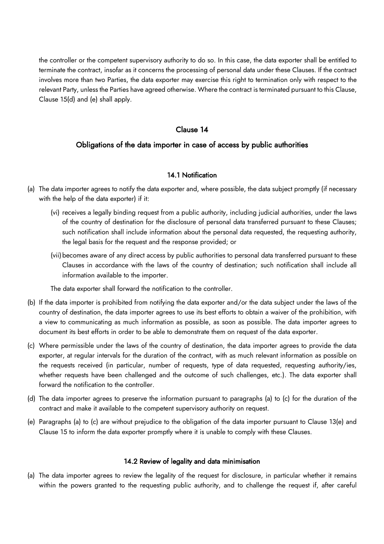the controller or the competent supervisory authority to do so. In this case, the data exporter shall be entitled to terminate the contract, insofar as it concerns the processing of personal data under these Clauses. If the contract involves more than two Parties, the data exporter may exercise this right to termination only with respect to the relevant Party, unless the Parties have agreed otherwise. Where the contract is terminated pursuant to this Clause, Clause 15(d) and (e) shall apply.

#### Clause 14

#### Obligations of the data importer in case of access by public authorities

#### 14.1 Notification

- (a) The data importer agrees to notify the data exporter and, where possible, the data subject promptly (if necessary with the help of the data exporter) if it:
	- (vi) receives a legally binding request from a public authority, including judicial authorities, under the laws of the country of destination for the disclosure of personal data transferred pursuant to these Clauses; such notification shall include information about the personal data requested, the requesting authority, the legal basis for the request and the response provided; or
	- (vii)becomes aware of any direct access by public authorities to personal data transferred pursuant to these Clauses in accordance with the laws of the country of destination; such notification shall include all information available to the importer.

The data exporter shall forward the notification to the controller.

- (b) If the data importer is prohibited from notifying the data exporter and/or the data subject under the laws of the country of destination, the data importer agrees to use its best efforts to obtain a waiver of the prohibition, with a view to communicating as much information as possible, as soon as possible. The data importer agrees to document its best efforts in order to be able to demonstrate them on request of the data exporter.
- (c) Where permissible under the laws of the country of destination, the data importer agrees to provide the data exporter, at regular intervals for the duration of the contract, with as much relevant information as possible on the requests received (in particular, number of requests, type of data requested, requesting authority/ies, whether requests have been challenged and the outcome of such challenges, etc.). The data exporter shall forward the notification to the controller.
- (d) The data importer agrees to preserve the information pursuant to paragraphs (a) to (c) for the duration of the contract and make it available to the competent supervisory authority on request.
- (e) Paragraphs (a) to (c) are without prejudice to the obligation of the data importer pursuant to Clause 13(e) and Clause 15 to inform the data exporter promptly where it is unable to comply with these Clauses.

#### 14.2 Review of legality and data minimisation

(a) The data importer agrees to review the legality of the request for disclosure, in particular whether it remains within the powers granted to the requesting public authority, and to challenge the request if, after careful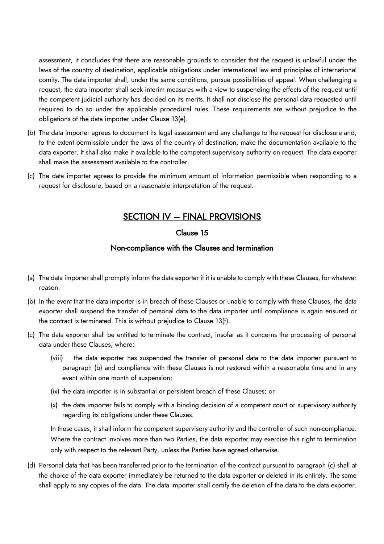assessment, it concludes that there are reasonable grounds to consider that the request is unlawful under the laws of the country of destination, applicable obligations under international law and principles of international comity. The data importer shall, under the same conditions, pursue possibilities of appeal. When challenging a request, the data importer shall seek interim measures with a view to suspending the effects of the request until the competent judicial authority has decided on its merits. It shall not disclose the personal data requested until required to do so under the applicable procedural rules. These requirements are without prejudice to the obligations of the data importer under Clause 13(e).

- (b) The data importer agrees to document its legal assessment and any challenge to the request for disclosure and, to the extent permissible under the laws of the country of destination, make the documentation available to the data exporter. It shall also make it available to the competent supervisory authority on request. The data exporter shall make the assessment available to the controller.
- (c) The data importer agrees to provide the minimum amount of information permissible when responding to a request for disclosure, based on a reasonable interpretation of the request.

## SECTION IV – FINAL PROVISIONS

#### Clause 15

#### Non-compliance with the Clauses and termination

- (a) The data importer shall promptly inform the data exporter if it is unable to comply with these Clauses, for whatever reason.
- (b) In the event that the data importer is in breach of these Clauses or unable to comply with these Clauses, the data exporter shall suspend the transfer of personal data to the data importer until compliance is again ensured or the contract is terminated. This is without prejudice to Clause 13(f).
- (c) The data exporter shall be entitled to terminate the contract, insofar as it concerns the processing of personal data under these Clauses, where:
	- (viii) the data exporter has suspended the transfer of personal data to the data importer pursuant to paragraph (b) and compliance with these Clauses is not restored within a reasonable time and in any event within one month of suspension;
	- (ix) the data importer is in substantial or persistent breach of these Clauses; or
	- (x) the data importer fails to comply with a binding decision of a competent court or supervisory authority regarding its obligations under these Clauses.

In these cases, it shall inform the competent supervisory authority and the controller of such non-compliance. Where the contract involves more than two Parties, the data exporter may exercise this right to termination only with respect to the relevant Party, unless the Parties have agreed otherwise.

(d) Personal data that has been transferred prior to the termination of the contract pursuant to paragraph (c) shall at the choice of the data exporter immediately be returned to the data exporter or deleted in its entirety. The same shall apply to any copies of the data. The data importer shall certify the deletion of the data to the data exporter.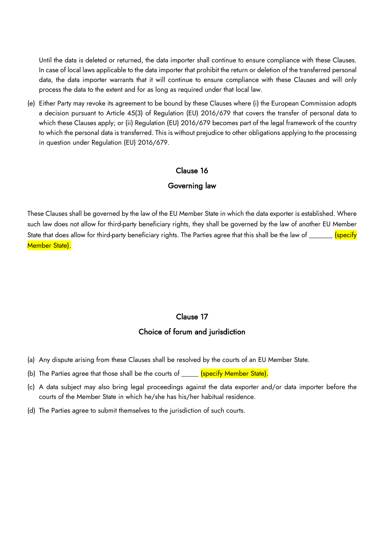Until the data is deleted or returned, the data importer shall continue to ensure compliance with these Clauses. In case of local laws applicable to the data importer that prohibit the return or deletion of the transferred personal data, the data importer warrants that it will continue to ensure compliance with these Clauses and will only process the data to the extent and for as long as required under that local law.

(e) Either Party may revoke its agreement to be bound by these Clauses where (i) the European Commission adopts a decision pursuant to Article 45(3) of Regulation (EU) 2016/679 that covers the transfer of personal data to which these Clauses apply; or (ii) Regulation (EU) 2016/679 becomes part of the legal framework of the country to which the personal data is transferred. This is without prejudice to other obligations applying to the processing in question under Regulation (EU) 2016/679.

#### Clause 16

#### Governing law

These Clauses shall be governed by the law of the EU Member State in which the data exporter is established. Where such law does not allow for third-party beneficiary rights, they shall be governed by the law of another EU Member State that does allow for third-party beneficiary rights. The Parties agree that this shall be the law of \_\_\_\_\_\_\_ (specify Member State).

#### Clause 17

#### Choice of forum and jurisdiction

- (a) Any dispute arising from these Clauses shall be resolved by the courts of an EU Member State.
- (b) The Parties agree that those shall be the courts of **way of specify Member State)**.
- (c) A data subject may also bring legal proceedings against the data exporter and/or data importer before the courts of the Member State in which he/she has his/her habitual residence.
- (d) The Parties agree to submit themselves to the jurisdiction of such courts.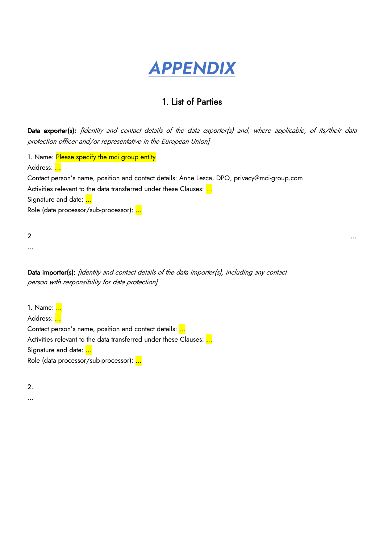

# 1. List of Parties

Data exporter(s): [Identity and contact details of the data exporter(s) and, where applicable, of its/their data protection officer and/or representative in the European Union]

| 1. Name: Please specify the mci group entity                                                |
|---------------------------------------------------------------------------------------------|
| Address: <mark></mark>                                                                      |
| Contact person's name, position and contact details: Anne Lesca, DPO, privacy@mci-group.com |
| Activities relevant to the data transferred under these Clauses: <mark></mark>              |
| Signature and date: <mark></mark>                                                           |
| Role (data processor/sub-processor): <mark></mark>                                          |

2  $\sim$  ...  $\sim$  ...  $\sim$  ...  $\sim$  ...  $\sim$  ...

…

Data importer(s): *[Identity and contact details of the data importer(s)*, *including any contact* person with responsibility for data protection]

1. Name: ... Address: ... Contact person's name, position and contact details:  $\ldots$ Activities relevant to the data transferred under these Clauses: ... Signature and date: ... Role (data processor/sub-processor): <mark>...</mark>

2.

...